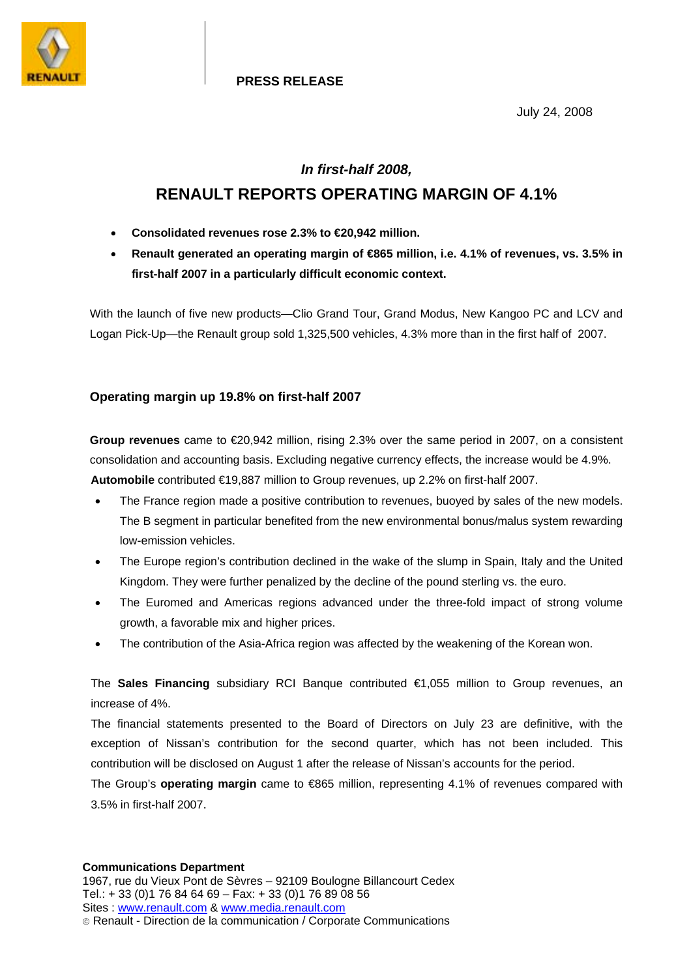

**PRESS RELEASE**

July 24, 2008

# *In first-half 2008,*  **RENAULT REPORTS OPERATING MARGIN OF 4.1%**

- **Consolidated revenues rose 2.3% to €20,942 million.**
- **Renault generated an operating margin of €865 million, i.e. 4.1% of revenues, vs. 3.5% in first-half 2007 in a particularly difficult economic context.**

With the launch of five new products—Clio Grand Tour, Grand Modus, New Kangoo PC and LCV and Logan Pick-Up—the Renault group sold 1,325,500 vehicles, 4.3% more than in the first half of 2007.

# **Operating margin up 19.8% on first-half 2007**

**Group revenues** came to €20,942 million, rising 2.3% over the same period in 2007, on a consistent consolidation and accounting basis. Excluding negative currency effects, the increase would be 4.9%. **Automobile** contributed €19,887 million to Group revenues, up 2.2% on first-half 2007.

- The France region made a positive contribution to revenues, buoyed by sales of the new models. The B segment in particular benefited from the new environmental bonus/malus system rewarding low-emission vehicles.
- The Europe region's contribution declined in the wake of the slump in Spain, Italy and the United Kingdom. They were further penalized by the decline of the pound sterling vs. the euro.
- The Euromed and Americas regions advanced under the three-fold impact of strong volume growth, a favorable mix and higher prices.
- The contribution of the Asia-Africa region was affected by the weakening of the Korean won.

The **Sales Financing** subsidiary RCI Banque contributed €1,055 million to Group revenues, an increase of 4%.

The financial statements presented to the Board of Directors on July 23 are definitive, with the exception of Nissan's contribution for the second quarter, which has not been included. This contribution will be disclosed on August 1 after the release of Nissan's accounts for the period.

The Group's **operating margin** came to €865 million, representing 4.1% of revenues compared with 3.5% in first-half 2007.

#### **Communications Department**

1967, rue du Vieux Pont de Sèvres – 92109 Boulogne Billancourt Cedex Tel.: + 33 (0)1 76 84 64 69 – Fax: + 33 (0)1 76 89 08 56 Sites : www.renault.com & www.media.renault.com Renault - Direction de la communication / Corporate Communications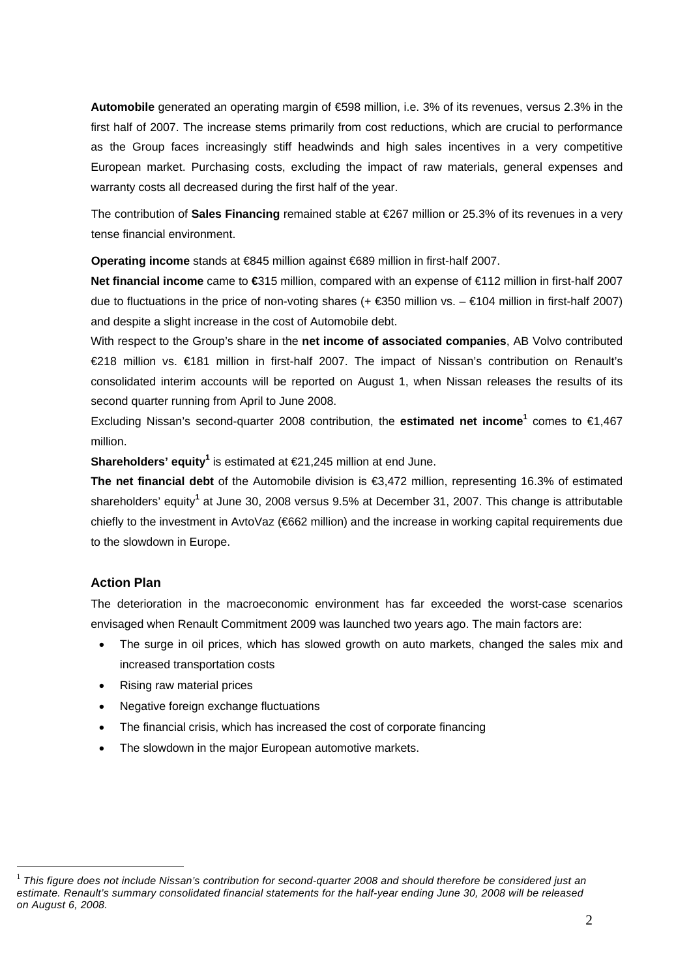**Automobile** generated an operating margin of €598 million, i.e. 3% of its revenues, versus 2.3% in the first half of 2007. The increase stems primarily from cost reductions, which are crucial to performance as the Group faces increasingly stiff headwinds and high sales incentives in a very competitive European market. Purchasing costs, excluding the impact of raw materials, general expenses and warranty costs all decreased during the first half of the year.

The contribution of **Sales Financing** remained stable at €267 million or 25.3% of its revenues in a very tense financial environment.

**Operating income** stands at €845 million against €689 million in first-half 2007.

**Net financial income** came to **€**315 million, compared with an expense of €112 million in first-half 2007 due to fluctuations in the price of non-voting shares (+ $\epsilon$ 350 million vs. –  $\epsilon$ 104 million in first-half 2007) and despite a slight increase in the cost of Automobile debt.

With respect to the Group's share in the **net income of associated companies**, AB Volvo contributed €218 million vs. €181 million in first-half 2007. The impact of Nissan's contribution on Renault's consolidated interim accounts will be reported on August 1, when Nissan releases the results of its second quarter running from April to June 2008.

Excluding Nissan's second-quarter 2008 contribution, the **estimated net income**<sup>1</sup> comes to €1,467 million.

**Shareholders' equity<sup>1</sup>** is estimated at €21,245 million at end June.

**The net financial debt** of the Automobile division is €3,472 million, representing 16.3% of estimated shareholders' equity<sup>1</sup> at June 30, 2008 versus 9.5% at December 31, 2007. This change is attributable chiefly to the investment in AvtoVaz (€662 million) and the increase in working capital requirements due to the slowdown in Europe.

# **Action Plan**

 $\overline{a}$ 

The deterioration in the macroeconomic environment has far exceeded the worst-case scenarios envisaged when Renault Commitment 2009 was launched two years ago. The main factors are:

- The surge in oil prices, which has slowed growth on auto markets, changed the sales mix and increased transportation costs
- Rising raw material prices
- Negative foreign exchange fluctuations
- The financial crisis, which has increased the cost of corporate financing
- The slowdown in the major European automotive markets.

<sup>&</sup>lt;sup>1</sup> This figure does not include Nissan's contribution for second-quarter 2008 and should therefore be considered just an *estimate. Renault's summary consolidated financial statements for the half-year ending June 30, 2008 will be released on August 6, 2008.*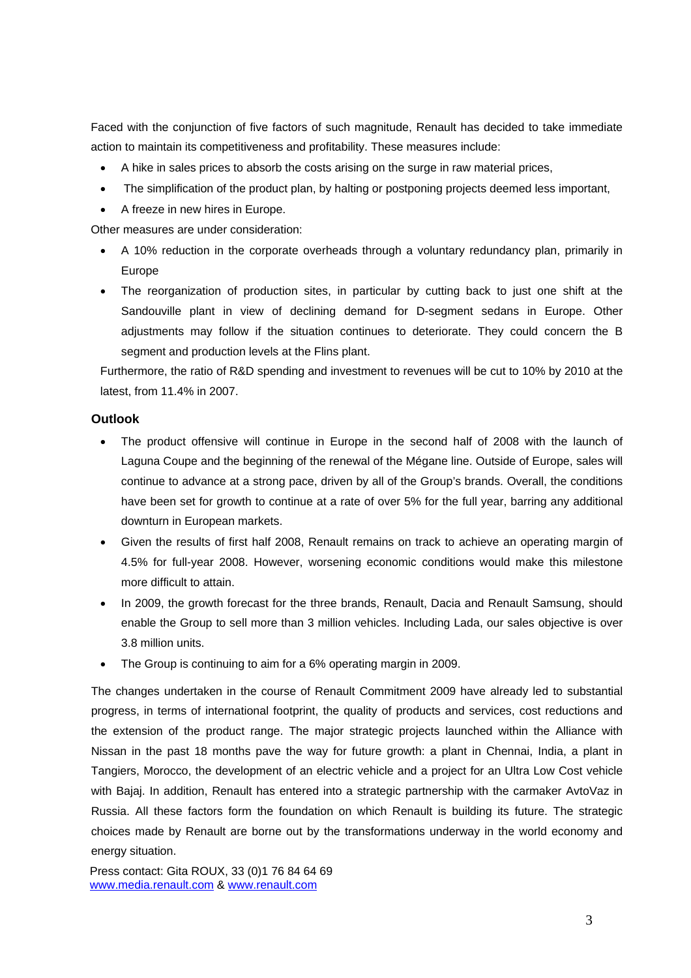Faced with the conjunction of five factors of such magnitude, Renault has decided to take immediate action to maintain its competitiveness and profitability. These measures include:

- A hike in sales prices to absorb the costs arising on the surge in raw material prices,
- The simplification of the product plan, by halting or postponing projects deemed less important,
- A freeze in new hires in Europe.

Other measures are under consideration:

- A 10% reduction in the corporate overheads through a voluntary redundancy plan, primarily in Europe
- The reorganization of production sites, in particular by cutting back to just one shift at the Sandouville plant in view of declining demand for D-segment sedans in Europe. Other adjustments may follow if the situation continues to deteriorate. They could concern the B segment and production levels at the Flins plant.

Furthermore, the ratio of R&D spending and investment to revenues will be cut to 10% by 2010 at the latest, from 11.4% in 2007.

#### **Outlook**

- The product offensive will continue in Europe in the second half of 2008 with the launch of Laguna Coupe and the beginning of the renewal of the Mégane line. Outside of Europe, sales will continue to advance at a strong pace, driven by all of the Group's brands. Overall, the conditions have been set for growth to continue at a rate of over 5% for the full year, barring any additional downturn in European markets.
- Given the results of first half 2008, Renault remains on track to achieve an operating margin of 4.5% for full-year 2008. However, worsening economic conditions would make this milestone more difficult to attain.
- In 2009, the growth forecast for the three brands, Renault, Dacia and Renault Samsung, should enable the Group to sell more than 3 million vehicles. Including Lada, our sales objective is over 3.8 million units.
- The Group is continuing to aim for a 6% operating margin in 2009.

The changes undertaken in the course of Renault Commitment 2009 have already led to substantial progress, in terms of international footprint, the quality of products and services, cost reductions and the extension of the product range. The major strategic projects launched within the Alliance with Nissan in the past 18 months pave the way for future growth: a plant in Chennai, India, a plant in Tangiers, Morocco, the development of an electric vehicle and a project for an Ultra Low Cost vehicle with Bajaj. In addition, Renault has entered into a strategic partnership with the carmaker AvtoVaz in Russia. All these factors form the foundation on which Renault is building its future. The strategic choices made by Renault are borne out by the transformations underway in the world economy and energy situation.

Press contact: Gita ROUX, 33 (0)1 76 84 64 69 www.media.renault.com & www.renault.com